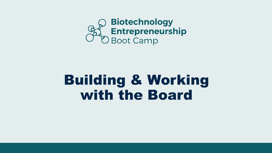

# Building & Working with the Board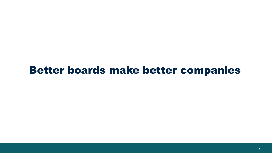#### Better boards make better companies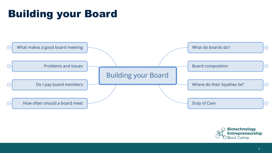## Building your Board



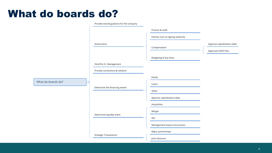#### What do boards do?

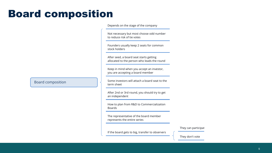#### Board composition

Depends on the stage of the company

Not necessary but most choose odd number to reduce risk of tie votes

Founders usually keep 2 seats for common stock holders

After seed, a board seat starts getting allocated to the person who leads the round

Keep in mind when you accept an investor, you are accepting a board member

Some investors will attach a board seat to the term sheet

After 2nd or 3rd round, you should try to get an independent

How to plan from R&D to Commercialization Boards

The representative of the board member represents the entire series

They can participat

If the board gets to big, transfer to observers

They don't vote

Board composition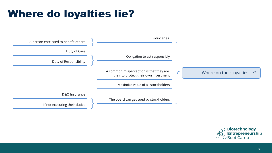### Where do loyalties lie?



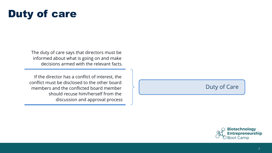#### Duty of care

The duty of care says that directors must be informed about what is going on and make decisions armed with the relevant facts.

If the director has a conflict of interest, the conflict must be disclosed to the other board members and the conflicted board member should recuse him/herself from the discussion and approval process

#### Duty of Care

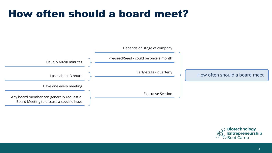#### How often should a board meet?



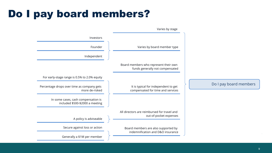#### Do I pay board members?

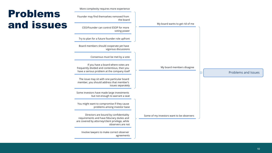|  |  | More complexity requires more experience |  |
|--|--|------------------------------------------|--|

Founder may find themselves removed from

CEO/Founder can control ESOP for more

Try to plan for a future founder role upfront

Board members should cooperate yet have

frequently divided and contentious, then you have a serious problem at the company itself

The issue may sit with one particular board member, you should address that member's

Consensus must be met by a vote

If you have a board where votes are

the board

voting power

vigorous discussions

issues separately

#### Problems and issues

My board wants to get rid of me

My board members disagree

Problems and Issues

Some of my investors want to be observers

but not enough to warrant a seat

Some investors have made large investments

You might want to compromise if they cause problems among investor base

Directors are bound by confidentiality requirements and have fiduciary duties and are covered by attorney/client privilege, while observers are not

Involve lawyers to make correct observer agreements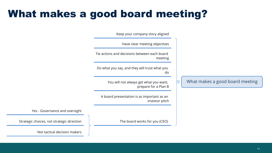#### What makes a good board meeting?

Keep your company story aligned

Have clear meeting objectives Tie actions and decisions between each board meeting Do what you say, and they will trust what you do What makes a good board meeting You will not always get what you want, ٢ prepare for a Plan B A board presentation is as important as an investor pitch

Yes - Governance and oversight

The board works for you (CEO)

Strategic choices, not strategic direction

Not tactical decision makers

#### 11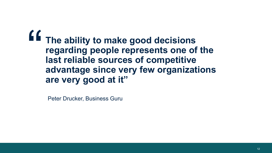**The ability to make good decisions regarding people represents one of the last reliable sources of competitive advantage since very few organizations are very good at it"** "

Peter Drucker, Business Guru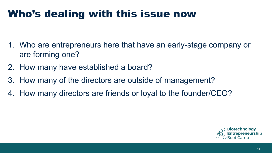#### Who's dealing with this issue now

- 1. Who are entrepreneurs here that have an early-stage company or are forming one?
- 2. How many have established a board?
- 3. How many of the directors are outside of management?
- 4. How many directors are friends or loyal to the founder/CEO?

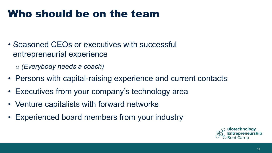#### Who should be on the team

• Seasoned CEOs or executives with successful entrepreneurial experience

o *(Everybody needs a coach)*

- Persons with capital-raising experience and current contacts
- Executives from your company's technology area
- Venture capitalists with forward networks
- Experienced board members from your industry